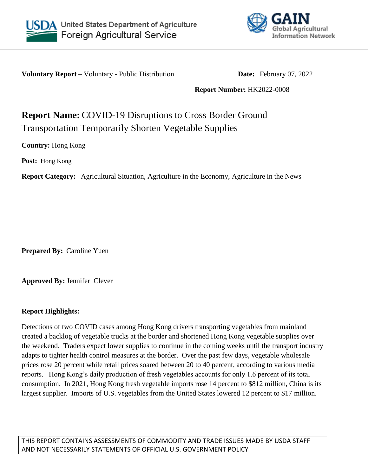



**Voluntary Report** – Voluntary - Public Distribution **Date:** February 07, 2022

**Report Number:** HK2022-0008

## **Report Name:** COVID-19 Disruptions to Cross Border Ground Transportation Temporarily Shorten Vegetable Supplies

**Country:** Hong Kong

**Post:** Hong Kong

**Report Category:** Agricultural Situation, Agriculture in the Economy, Agriculture in the News

**Prepared By:** Caroline Yuen

**Approved By:** Jennifer Clever

## **Report Highlights:**

Detections of two COVID cases among Hong Kong drivers transporting vegetables from mainland created a backlog of vegetable trucks at the border and shortened Hong Kong vegetable supplies over the weekend. Traders expect lower supplies to continue in the coming weeks until the transport industry adapts to tighter health control measures at the border. Over the past few days, vegetable wholesale prices rose 20 percent while retail prices soared between 20 to 40 percent, according to various media reports. Hong Kong's daily production of fresh vegetables accounts for only 1.6 percent of its total consumption. In 2021, Hong Kong fresh vegetable imports rose 14 percent to \$812 million, China is its largest supplier. Imports of U.S. vegetables from the United States lowered 12 percent to \$17 million.

THIS REPORT CONTAINS ASSESSMENTS OF COMMODITY AND TRADE ISSUES MADE BY USDA STAFF AND NOT NECESSARILY STATEMENTS OF OFFICIAL U.S. GOVERNMENT POLICY